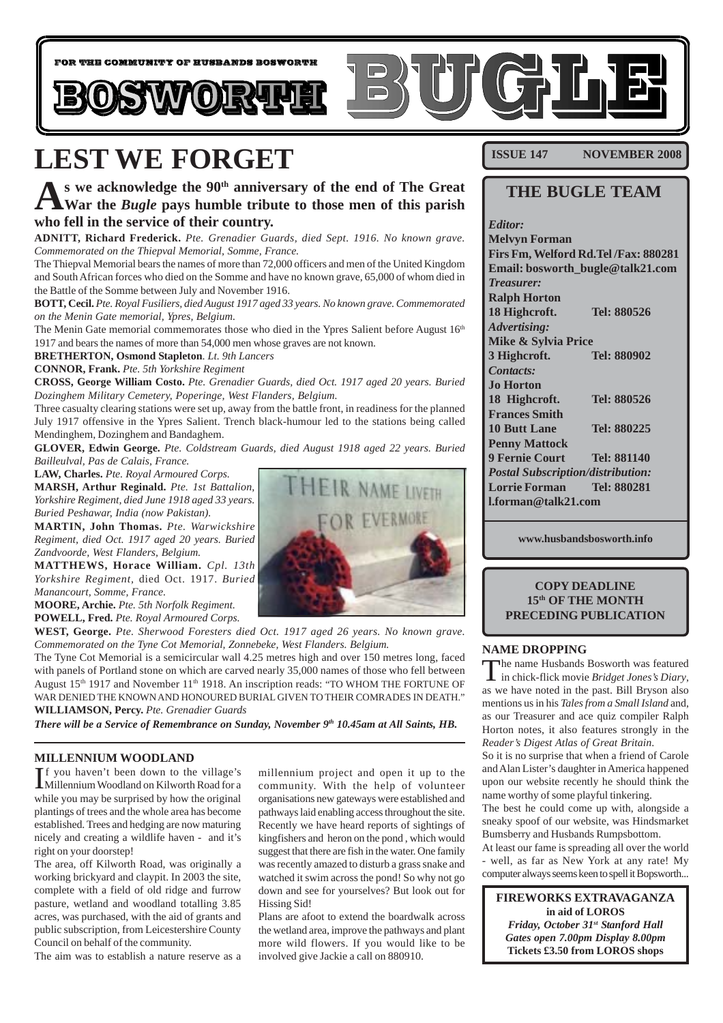

# **LEST WE FORGET**

**As we acknowledge the 90th anniversary of the end of The Great War the** *Bugle* **pays humble tribute to those men of this parish who fell in the service of their country.**

**ADNITT, Richard Frederick.** *Pte. Grenadier Guards, died Sept. 1916. No known grave. Commemorated on the Thiepval Memorial, Somme, France.*

The Thiepval Memorial bears the names of more than 72,000 officers and men of the United Kingdom and South African forces who died on the Somme and have no known grave, 65,000 of whom died in the Battle of the Somme between July and November 1916.

**BOTT, Cecil.** *Pte. Royal Fusiliers, died August 1917 aged 33 years. No known grave. Commemorated on the Menin Gate memorial, Ypres, Belgium.*

The Menin Gate memorial commemorates those who died in the Ypres Salient before August  $16<sup>th</sup>$ 1917 and bears the names of more than 54,000 men whose graves are not known.

**BRETHERTON, Osmond Stapleton**. *Lt. 9th Lancers*

**CONNOR, Frank.** *Pte. 5th Yorkshire Regiment*

**CROSS, George William Costo.** *Pte. Grenadier Guards, died Oct. 1917 aged 20 years. Buried Dozinghem Military Cemetery, Poperinge, West Flanders, Belgium.*

Three casualty clearing stations were set up, away from the battle front, in readiness for the planned July 1917 offensive in the Ypres Salient. Trench black-humour led to the stations being called Mendinghem, Dozinghem and Bandaghem.

**GLOVER, Edwin George.** *Pte. Coldstream Guards, died August 1918 aged 22 years. Buried Bailleulval, Pas de Calais, France.*

**LAW, Charles.** *Pte. Royal Armoured Corps.*

**MARSH, Arthur Reginald.** *Pte. 1st Battalion, Yorkshire Regiment, died June 1918 aged 33 years. Buried Peshawar, India (now Pakistan).*

**MARTIN, John Thomas.** *Pte. Warwickshire Regiment, died Oct. 1917 aged 20 years. Buried Zandvoorde, West Flanders, Belgium.*

**MATTHEWS, Horace William.** *Cpl. 13th Yorkshire Regiment,* died Oct. 1917. *Buried Manancourt, Somme, France.*

**MOORE, Archie.** *Pte. 5th Norfolk Regiment.* **POWELL, Fred.** *Pte. Royal Armoured Corps.*

**WEST, George.** *Pte. Sherwood Foresters died Oct. 1917 aged 26 years. No known grave. Commemorated on the Tyne Cot Memorial, Zonnebeke, West Flanders. Belgium.*

The Tyne Cot Memorial is a semicircular wall 4.25 metres high and over 150 metres long, faced with panels of Portland stone on which are carved nearly 35,000 names of those who fell between August  $15<sup>th</sup>$  1917 and November  $11<sup>th</sup>$  1918. An inscription reads: "TO WHOM THE FORTUNE OF WAR DENIED THE KNOWN AND HONOURED BURIAL GIVEN TO THEIR COMRADES IN DEATH." **WILLIAMSON, Percy.** *Pte. Grenadier Guards*

*There will be a Service of Remembrance on Sunday, November 9<sup>th</sup> 10.45am at All Saints, HB.* 

#### **MILLENNIUM WOODLAND**

If you haven't been down to the village's<br>Millennium Woodland on Kilworth Road for a Millennium Woodland on Kilworth Road for a while you may be surprised by how the original plantings of trees and the whole area has become established. Trees and hedging are now maturing nicely and creating a wildlife haven - and it's right on your doorstep!

The area, off Kilworth Road, was originally a working brickyard and claypit. In 2003 the site, complete with a field of old ridge and furrow pasture, wetland and woodland totalling 3.85 acres, was purchased, with the aid of grants and public subscription, from Leicestershire County Council on behalf of the community.

The aim was to establish a nature reserve as a

millennium project and open it up to the community. With the help of volunteer organisations new gateways were established and pathways laid enabling access throughout the site. Recently we have heard reports of sightings of kingfishers and heron on the pond , which would suggest that there are fish in the water. One family was recently amazed to disturb a grass snake and watched it swim across the pond! So why not go down and see for yourselves? But look out for Hissing Sid!

Plans are afoot to extend the boardwalk across the wetland area, improve the pathways and plant more wild flowers. If you would like to be involved give Jackie a call on 880910.

**ISSUE 147 NOVEMBER 2008** 

#### **THE BUGLE TEAM**

*Editor:* **Melvyn Forman Firs Fm, Welford Rd.Tel /Fax: 880281 Email: bosworth\_bugle@talk21.com** *Treasurer:* **Ralph Horton 18 Highcroft. Tel: 880526** *Advertising:* **Mike & Sylvia Price 3 Highcroft. Tel: 880902** *Contacts:* **Jo Horton 18 Highcroft. Tel: 880526 Frances Smith 10 Butt Lane Tel: 880225 Penny Mattock 9 Fernie Court Tel: 881140** *Postal Subscription/distribution:* **Lorrie Forman Tel: 880281 l.forman@talk21.com**

**www.husbandsbosworth.info**

#### **COPY DEADLINE 15th OF THE MONTH PRECEDING PUBLICATION**

#### **NAME DROPPING**

The name Husbands Bosworth was featured in chick-flick movie *Bridget Jones's Diary*, as we have noted in the past. Bill Bryson also mentions us in his *Tales from a Small Island* and, as our Treasurer and ace quiz compiler Ralph Horton notes, it also features strongly in the *Reader's Digest Atlas of Great Britain*.

So it is no surprise that when a friend of Carole and Alan Lister's daughter in America happened upon our website recently he should think the name worthy of some playful tinkering.

The best he could come up with, alongside a sneaky spoof of our website, was Hindsmarket Bumsberry and Husbands Rumpsbottom.

At least our fame is spreading all over the world - well, as far as New York at any rate! My computer always seems keen to spell it Bopsworth...

**FIREWORKS EXTRAVAGANZA in aid of LOROS** *Friday, October 31st Stanford Hall Gates open 7.00pm Display 8.00pm* **Tickets £3.50 from LOROS shops**

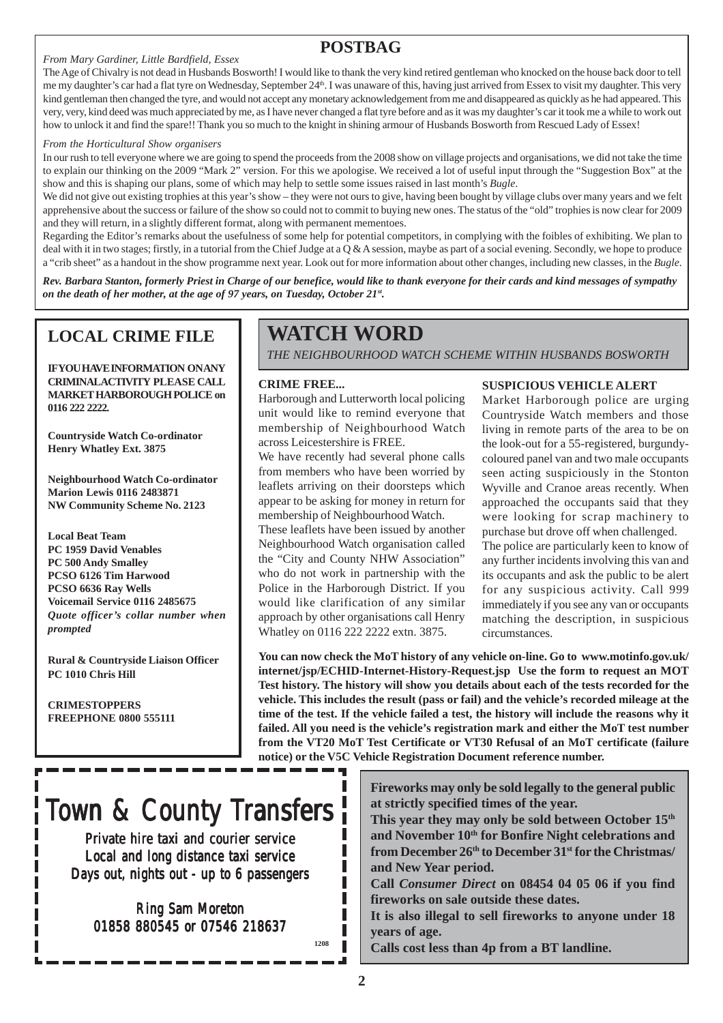### **POSTBAG**

#### *From Mary Gardiner, Little Bardfield, Essex*

The Age of Chivalry is not dead in Husbands Bosworth! I would like to thank the very kind retired gentleman who knocked on the house back door to tell me my daughter's car had a flat tyre on Wednesday, September 24th. I was unaware of this, having just arrived from Essex to visit my daughter. This very kind gentleman then changed the tyre, and would not accept any monetary acknowledgement from me and disappeared as quickly as he had appeared. This very, very, kind deed was much appreciated by me, as I have never changed a flat tyre before and as it was my daughter's car it took me a while to work out how to unlock it and find the spare!! Thank you so much to the knight in shining armour of Husbands Bosworth from Rescued Lady of Essex!

#### *From the Horticultural Show organisers*

In our rush to tell everyone where we are going to spend the proceeds from the 2008 show on village projects and organisations, we did not take the time to explain our thinking on the 2009 "Mark 2" version. For this we apologise. We received a lot of useful input through the "Suggestion Box" at the show and this is shaping our plans, some of which may help to settle some issues raised in last month's *Bugle*.

We did not give out existing trophies at this year's show – they were not ours to give, having been bought by village clubs over many years and we felt apprehensive about the success or failure of the show so could not to commit to buying new ones. The status of the "old" trophies is now clear for 2009 and they will return, in a slightly different format, along with permanent mementoes.

Regarding the Editor's remarks about the usefulness of some help for potential competitors, in complying with the foibles of exhibiting. We plan to deal with it in two stages; firstly, in a tutorial from the Chief Judge at a  $\overline{Q} \& A$  session, maybe as part of a social evening. Secondly, we hope to produce a "crib sheet" as a handout in the show programme next year. Look out for more information about other changes, including new classes, in the *Bugle*.

*Rev. Barbara Stanton, formerly Priest in Charge of our benefice, would like to thank everyone for their cards and kind messages of sympathy on the death of her mother, at the age of 97 years, on Tuesday, October 21st.*

### **LOCAL CRIME FILE**

**IF YOU HAVE INFORMATION ON ANY CRIMINAL ACTIVITY PLEASE CALL MARKET HARBOROUGH POLICE on 0116 222 2222.**

**Countryside Watch Co-ordinator Henry Whatley Ext. 3875**

**Neighbourhood Watch Co-ordinator Marion Lewis 0116 2483871 NW Community Scheme No. 2123**

**Local Beat Team PC 1959 David Venables PC 500 Andy Smalley PCSO 6126 Tim Harwood PCSO 6636 Ray Wells Voicemail Service 0116 2485675** *Quote officer's collar number when prompted*

**Rural & Countryside Liaison Officer PC 1010 Chris Hill**

**CRIMESTOPPERS FREEPHONE 0800 555111**

# **WATCH WORD**

*THE NEIGHBOURHOOD WATCH SCHEME WITHIN HUSBANDS BOSWORTH*

#### **CRIME FREE...**

Harborough and Lutterworth local policing unit would like to remind everyone that membership of Neighbourhood Watch across Leicestershire is FREE.

We have recently had several phone calls from members who have been worried by leaflets arriving on their doorsteps which appear to be asking for money in return for membership of Neighbourhood Watch.

These leaflets have been issued by another Neighbourhood Watch organisation called the "City and County NHW Association" who do not work in partnership with the Police in the Harborough District. If you would like clarification of any similar approach by other organisations call Henry Whatley on 0116 222 2222 extn. 3875.

#### **SUSPICIOUS VEHICLE ALERT**

Market Harborough police are urging Countryside Watch members and those living in remote parts of the area to be on the look-out for a 55-registered, burgundycoloured panel van and two male occupants seen acting suspiciously in the Stonton Wyville and Cranoe areas recently. When approached the occupants said that they were looking for scrap machinery to purchase but drove off when challenged.

The police are particularly keen to know of any further incidents involving this van and its occupants and ask the public to be alert for any suspicious activity. Call 999 immediately if you see any van or occupants matching the description, in suspicious circumstances.

**You can now check the MoT history of any vehicle on-line. Go to www.motinfo.gov.uk/ internet/jsp/ECHID-Internet-History-Request.jsp Use the form to request an MOT Test history. The history will show you details about each of the tests recorded for the vehicle. This includes the result (pass or fail) and the vehicle's recorded mileage at the time of the test. If the vehicle failed a test, the history will include the reasons why it failed. All you need is the vehicle's registration mark and either the MoT test number from the VT20 MoT Test Certificate or VT30 Refusal of an MoT certificate (failure notice) or the V5C Vehicle Registration Document reference number.**

# Town & County Transfers

Private hire taxi and courier service Local and long distance taxi service Days out, nights out - up to 6 passengers

Ring Sam Moreton 01858 880545 or 07546 218637 **Fireworks may only be sold legally to the general public at strictly specified times of the year.**

**This year they may only be sold between October 15th and November 10th for Bonfire Night celebrations and from December 26th to December 31st for the Christmas/ and New Year period.**

**Call** *Consumer Direct* **on 08454 04 05 06 if you find fireworks on sale outside these dates.**

**It is also illegal to sell fireworks to anyone under 18 years of age.**

**Calls cost less than 4p from a BT landline.**

**1208**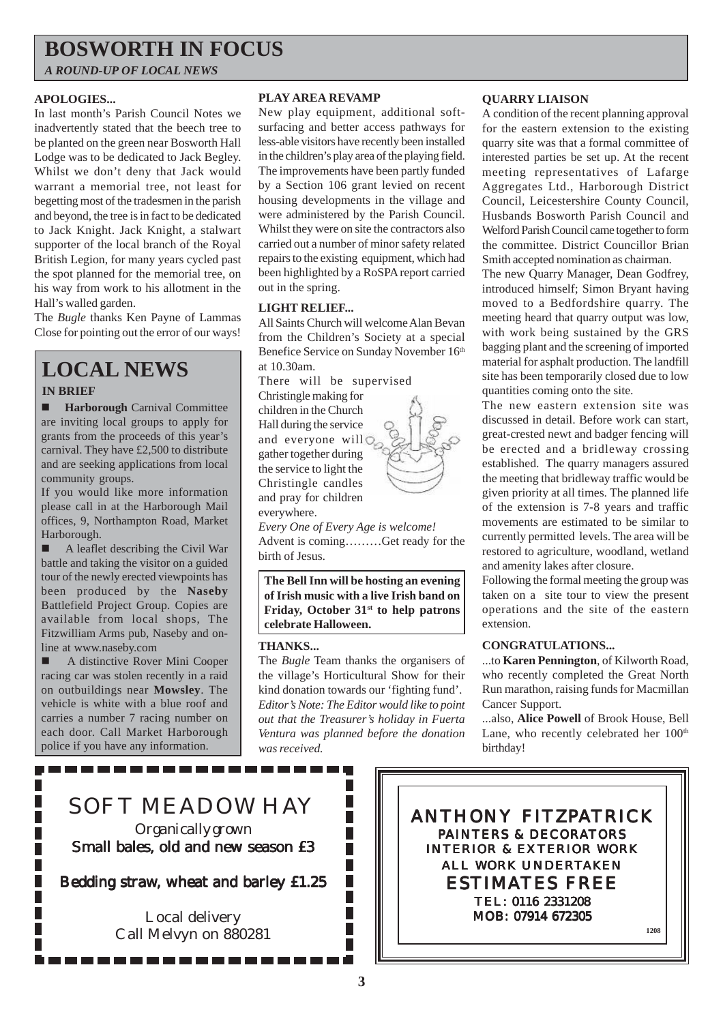# **BOSWORTH IN FOCUS**

*A ROUND-UP OF LOCAL NEWS*

#### **APOLOGIES...**

In last month's Parish Council Notes we inadvertently stated that the beech tree to be planted on the green near Bosworth Hall Lodge was to be dedicated to Jack Begley. Whilst we don't deny that Jack would warrant a memorial tree, not least for begetting most of the tradesmen in the parish and beyond, the tree is in fact to be dedicated to Jack Knight. Jack Knight, a stalwart supporter of the local branch of the Royal British Legion, for many years cycled past the spot planned for the memorial tree, on his way from work to his allotment in the Hall's walled garden.

The *Bugle* thanks Ken Payne of Lammas Close for pointing out the error of our ways!

# **LOCAL NEWS**

#### **IN BRIEF**

**Harborough** Carnival Committee are inviting local groups to apply for grants from the proceeds of this year's carnival. They have £2,500 to distribute and are seeking applications from local community groups.

If you would like more information please call in at the Harborough Mail offices, 9, Northampton Road, Market Harborough.

 $\blacksquare$  A leaflet describing the Civil War battle and taking the visitor on a guided tour of the newly erected viewpoints has been produced by the **Naseby** Battlefield Project Group. Copies are available from local shops, The Fitzwilliam Arms pub, Naseby and online at www.naseby.com

! A distinctive Rover Mini Cooper racing car was stolen recently in a raid on outbuildings near **Mowsley**. The vehicle is white with a blue roof and carries a number 7 racing number on each door. Call Market Harborough police if you have any information.

#### **PLAY AREA REVAMP**

New play equipment, additional softsurfacing and better access pathways for less-able visitors have recently been installed in the children's play area of the playing field. The improvements have been partly funded by a Section 106 grant levied on recent housing developments in the village and were administered by the Parish Council. Whilst they were on site the contractors also carried out a number of minor safety related repairs to the existing equipment, which had been highlighted by a RoSPA report carried out in the spring.

#### **LIGHT RELIEF...**

All Saints Church will welcome Alan Bevan from the Children's Society at a special Benefice Service on Sunday November 16th at 10.30am.

There will be supervised

Christingle making for children in the Church Hall during the service and everyone will  $\mathbb{Q}_{\infty}$ gather together during the service to light the Christingle candles and pray for children everywhere.



*Every One of Every Age is welcome!* Advent is coming………Get ready for the birth of Jesus.

**The Bell Inn will be hosting an evening of Irish music with a live Irish band on Friday, October 31st to help patrons celebrate Halloween.**

#### **THANKS...**

The *Bugle* Team thanks the organisers of the village's Horticultural Show for their kind donation towards our 'fighting fund'. *Editor's Note: The Editor would like to point out that the Treasurer's holiday in Fuerta Ventura was planned before the donation was received.*

> П П П

> П Ī П П П

#### **QUARRY LIAISON**

A condition of the recent planning approval for the eastern extension to the existing quarry site was that a formal committee of interested parties be set up. At the recent meeting representatives of Lafarge Aggregates Ltd., Harborough District Council, Leicestershire County Council, Husbands Bosworth Parish Council and Welford Parish Council came together to form the committee. District Councillor Brian Smith accepted nomination as chairman.

The new Quarry Manager, Dean Godfrey, introduced himself; Simon Bryant having moved to a Bedfordshire quarry. The meeting heard that quarry output was low, with work being sustained by the GRS bagging plant and the screening of imported material for asphalt production. The landfill site has been temporarily closed due to low quantities coming onto the site.

The new eastern extension site was discussed in detail. Before work can start, great-crested newt and badger fencing will be erected and a bridleway crossing established. The quarry managers assured the meeting that bridleway traffic would be given priority at all times. The planned life of the extension is 7-8 years and traffic movements are estimated to be similar to currently permitted levels. The area will be restored to agriculture, woodland, wetland and amenity lakes after closure.

Following the formal meeting the group was taken on a site tour to view the present operations and the site of the eastern extension.

#### **CONGRATULATIONS...**

...to **Karen Pennington**, of Kilworth Road, who recently completed the Great North Run marathon, raising funds for Macmillan Cancer Support.

...also, **Alice Powell** of Brook House, Bell Lane, who recently celebrated her  $100<sup>th</sup>$ birthday!



----------------

Small bales, old and new season £3

Bedding straw, wheat and barley £1.25

Local delivery Call Melvyn on 880281 ANTHONY FITZPATRICK PAINTERS & DECORATORS INTERIOR & EXTERIOR WORK ALL WORK UNDERTAKEN ESTIMATES FREE TEL: 0116 2331208 MOB: 07914 672305 **1208**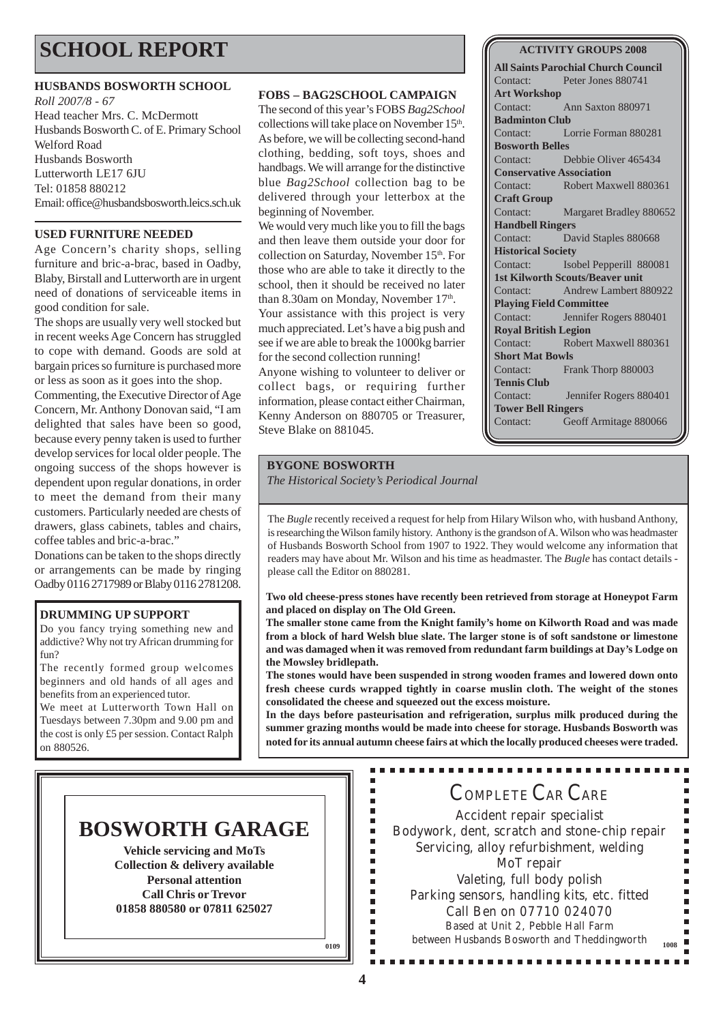# **SCHOOL REPORT**

#### **HUSBANDS BOSWORTH SCHOOL**

*Roll 2007/8 - 67* Head teacher Mrs. C. McDermott Husbands Bosworth C. of E. Primary School Welford Road Husbands Bosworth Lutterworth LE17 6JU Tel: 01858 880212 Email: office@husbandsbosworth.leics.sch.uk

#### **USED FURNITURE NEEDED**

Age Concern's charity shops, selling furniture and bric-a-brac, based in Oadby, Blaby, Birstall and Lutterworth are in urgent need of donations of serviceable items in good condition for sale.

The shops are usually very well stocked but in recent weeks Age Concern has struggled to cope with demand. Goods are sold at bargain prices so furniture is purchased more or less as soon as it goes into the shop.

Commenting, the Executive Director of Age Concern, Mr. Anthony Donovan said, "I am delighted that sales have been so good, because every penny taken is used to further develop services for local older people. The ongoing success of the shops however is dependent upon regular donations, in order to meet the demand from their many customers. Particularly needed are chests of drawers, glass cabinets, tables and chairs, coffee tables and bric-a-brac."

Donations can be taken to the shops directly or arrangements can be made by ringing Oadby 0116 2717989 or Blaby 0116 2781208.

#### **DRUMMING UP SUPPORT**

Do you fancy trying something new and addictive? Why not try African drumming for fun?

The recently formed group welcomes beginners and old hands of all ages and benefits from an experienced tutor.

We meet at Lutterworth Town Hall on Tuesdays between 7.30pm and 9.00 pm and the cost is only £5 per session. Contact Ralph on 880526.

#### **FOBS – BAG2SCHOOL CAMPAIGN**

The second of this year's FOBS *Bag2School* collections will take place on November 15<sup>th</sup>. As before, we will be collecting second-hand clothing, bedding, soft toys, shoes and handbags. We will arrange for the distinctive blue *Bag2School* collection bag to be delivered through your letterbox at the beginning of November.

We would very much like you to fill the bags and then leave them outside your door for collection on Saturday, November 15th. For those who are able to take it directly to the school, then it should be received no later than 8.30am on Monday, November 17<sup>th</sup>.

Your assistance with this project is very much appreciated. Let's have a big push and see if we are able to break the 1000kg barrier for the second collection running!

Anyone wishing to volunteer to deliver or collect bags, or requiring further information, please contact either Chairman, Kenny Anderson on 880705 or Treasurer, Steve Blake on 881045.

#### **ACTIVITY GROUPS 2008**

**All Saints Parochial Church Council** Contact: Peter Jones 880741 **Art Workshop** Contact: Ann Saxton 880971 **Badminton Club** Contact: Lorrie Forman 880281 **Bosworth Belles** Contact: Debbie Oliver 465434 **Conservative Association** Contact: Robert Maxwell 880361 **Craft Group** Contact: Margaret Bradley 880652 **Handbell Ringers** Contact: David Staples 880668 **Historical Society** Contact: Isobel Pepperill 880081 **1st Kilworth Scouts/Beaver unit** Contact: Andrew Lambert 880922 **Playing Field Committee** Contact: Jennifer Rogers 880401 **Royal British Legion** Contact: Robert Maxwell 880361 **Short Mat Bowls** Contact: Frank Thorp 880003 **Tennis Club** Contact: Jennifer Rogers 880401 **Tower Bell Ringers** Contact: Geoff Armitage 880066

#### **BYGONE BOSWORTH**

*The Historical Society's Periodical Journal*

The *Bugle* recently received a request for help from Hilary Wilson who, with husband Anthony, is researching the Wilson family history. Anthony is the grandson of A. Wilson who was headmaster of Husbands Bosworth School from 1907 to 1922. They would welcome any information that readers may have about Mr. Wilson and his time as headmaster. The *Bugle* has contact details please call the Editor on 880281.

**Two old cheese-press stones have recently been retrieved from storage at Honeypot Farm and placed on display on The Old Green.**

**The smaller stone came from the Knight family's home on Kilworth Road and was made from a block of hard Welsh blue slate. The larger stone is of soft sandstone or limestone and was damaged when it was removed from redundant farm buildings at Day's Lodge on the Mowsley bridlepath.**

**The stones would have been suspended in strong wooden frames and lowered down onto fresh cheese curds wrapped tightly in coarse muslin cloth. The weight of the stones consolidated the cheese and squeezed out the excess moisture.**

**In the days before pasteurisation and refrigeration, surplus milk produced during the summer grazing months would be made into cheese for storage. Husbands Bosworth was noted for its annual autumn cheese fairs at which the locally produced cheeses were traded.**

## **BOSWORTH GARAGE**

**Vehicle servicing and MoTs Collection & delivery available Personal attention Call Chris or Trevor 01858 880580 or 07811 625027**

COMPLETE CAR CARE

----------

Accident repair specialist Bodywork, dent, scratch and stone-chip repair Servicing, alloy refurbishment, welding MoT repair Valeting, full body polish Parking sensors, handling kits, etc. fitted Call Ben on 07710 024070 Based at Unit 2, Pebble Hall Farm between Husbands Bosworth and Theddingworth **<sup>1008</sup>**

Ė Ė I. É Ì.  $\blacksquare$ r r. Î.  $\blacksquare$ в  $\blacksquare$ Ė  $\blacksquare$ Ė

**0109**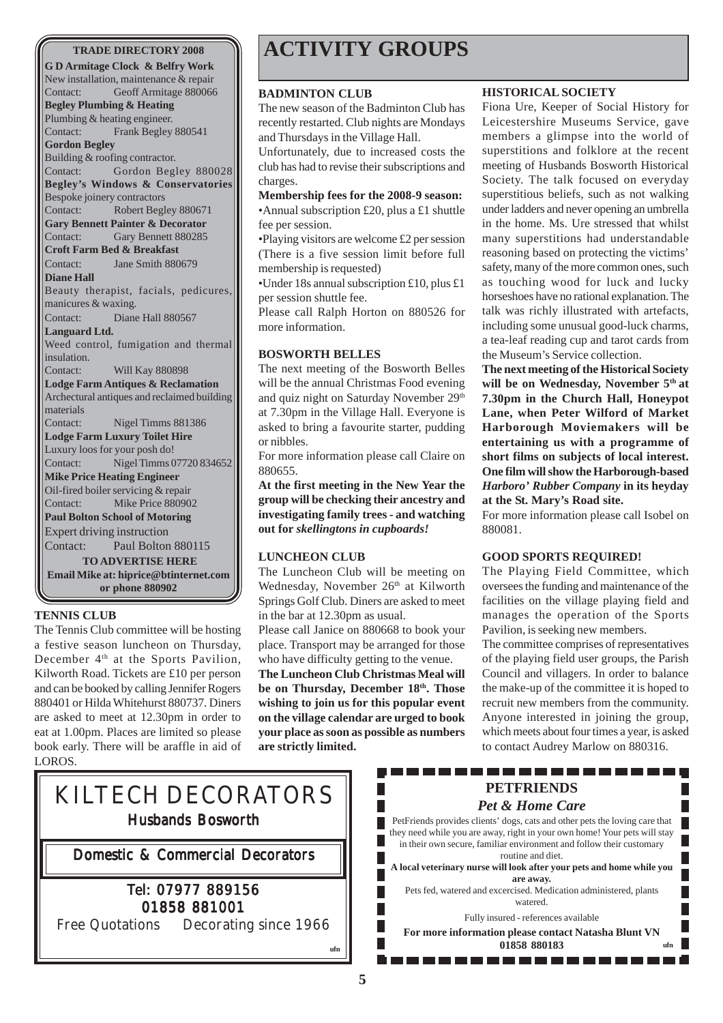#### **TRADE DIRECTORY 2008**

**G D Armitage Clock & Belfry Work** New installation, maintenance & repair Contact: Geoff Armitage 880066 **Begley Plumbing & Heating** Plumbing & heating engineer. Contact: Frank Begley 880541 **Gordon Begley** Building & roofing contractor. Contact: Gordon Begley 880028 **Begley's Windows & Conservatories** Bespoke joinery contractors Contact: Robert Begley 880671 **Gary Bennett Painter & Decorator** Contact: Gary Bennett 880285 **Croft Farm Bed & Breakfast** Contact: Jane Smith 880679 **Diane Hall** Beauty therapist, facials, pedicures, manicures & waxing. Contact: Diane Hall 880567 **Languard Ltd.** Weed control, fumigation and thermal insulation. Contact: Will Kay 880898 **Lodge Farm Antiques & Reclamation** Archectural antiques and reclaimed building materials Contact: Nigel Timms 881386 **Lodge Farm Luxury Toilet Hire** Luxury loos for your posh do! Contact: Nigel Timms 07720 834652 **Mike Price Heating Engineer** Oil-fired boiler servicing & repair Contact: Mike Price 880902 **Paul Bolton School of Motoring** Expert driving instruction Contact: Paul Bolton 880115 **TO ADVERTISE HERE Email Mike at: hiprice@btinternet.com or phone 880902**

#### **TENNIS CLUB**

The Tennis Club committee will be hosting a festive season luncheon on Thursday, December  $4<sup>th</sup>$  at the Sports Pavilion, Kilworth Road. Tickets are £10 per person and can be booked by calling Jennifer Rogers 880401 or Hilda Whitehurst 880737. Diners are asked to meet at 12.30pm in order to eat at 1.00pm. Places are limited so please book early. There will be araffle in aid of LOROS.

# **ACTIVITY GROUPS**

#### **BADMINTON CLUB**

The new season of the Badminton Club has recently restarted. Club nights are Mondays and Thursdays in the Village Hall. Unfortunately, due to increased costs the club has had to revise their subscriptions and

charges.

**Membership fees for the 2008-9 season:** •Annual subscription £20, plus a £1 shuttle fee per session.

•Playing visitors are welcome £2 per session (There is a five session limit before full membership is requested)

•Under 18s annual subscription £10, plus £1 per session shuttle fee.

Please call Ralph Horton on 880526 for more information.

#### **BOSWORTH BELLES**

The next meeting of the Bosworth Belles will be the annual Christmas Food evening and quiz night on Saturday November 29<sup>th</sup> at 7.30pm in the Village Hall. Everyone is asked to bring a favourite starter, pudding or nibbles.

For more information please call Claire on 880655.

**At the first meeting in the New Year the group will be checking their ancestry and investigating family trees - and watching out for** *skellingtons in cupboards!*

#### **LUNCHEON CLUB**

The Luncheon Club will be meeting on Wednesday, November 26<sup>th</sup> at Kilworth Springs Golf Club. Diners are asked to meet in the bar at 12.30pm as usual.

Please call Janice on 880668 to book your place. Transport may be arranged for those who have difficulty getting to the venue.

**The Luncheon Club Christmas Meal will be on Thursday, December 18th. Those wishing to join us for this popular event on the village calendar are urged to book your place as soon as possible as numbers are strictly limited.**

#### **HISTORICAL SOCIETY**

Fiona Ure, Keeper of Social History for Leicestershire Museums Service, gave members a glimpse into the world of superstitions and folklore at the recent meeting of Husbands Bosworth Historical Society. The talk focused on everyday superstitious beliefs, such as not walking under ladders and never opening an umbrella in the home. Ms. Ure stressed that whilst many superstitions had understandable reasoning based on protecting the victims' safety, many of the more common ones, such as touching wood for luck and lucky horseshoes have no rational explanation. The talk was richly illustrated with artefacts, including some unusual good-luck charms, a tea-leaf reading cup and tarot cards from the Museum's Service collection.

**The next meeting of the Historical Society** will be on Wednesday, November 5<sup>th</sup> at **7.30pm in the Church Hall, Honeypot Lane, when Peter Wilford of Market Harborough Moviemakers will be entertaining us with a programme of short films on subjects of local interest. One film will show the Harborough-based** *Harboro' Rubber Company* **in its heyday at the St. Mary's Road site.**

For more information please call Isobel on 880081.

#### **GOOD SPORTS REQUIRED!**

The Playing Field Committee, which oversees the funding and maintenance of the facilities on the village playing field and manages the operation of the Sports Pavilion, is seeking new members.

The committee comprises of representatives of the playing field user groups, the Parish Council and villagers. In order to balance the make-up of the committee it is hoped to recruit new members from the community. Anyone interested in joining the group, which meets about four times a year, is asked to contact Audrey Marlow on 880316.

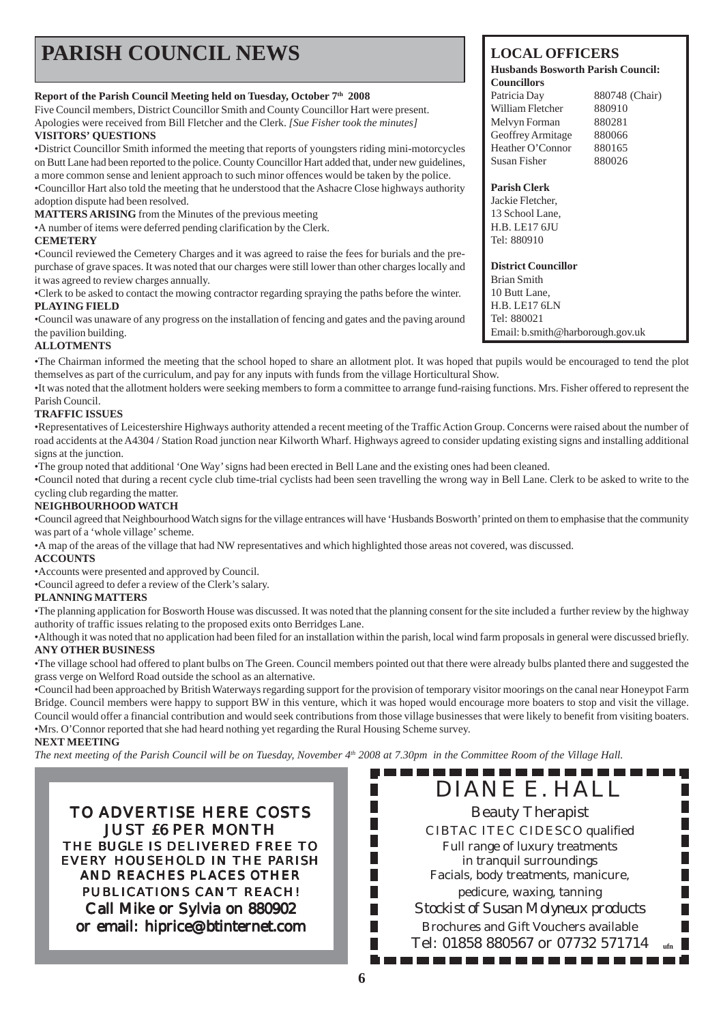| <b>PARISH COUNCIL NEWS</b>                                                                              | <b>LOCAL OFFICERS</b><br><b>Husbands Bosworth Parish Council:</b><br><b>Councillors</b> |                |
|---------------------------------------------------------------------------------------------------------|-----------------------------------------------------------------------------------------|----------------|
| Report of the Parish Council Meeting held on Tuesday, October 7 <sup>th</sup> 2008                      | Patricia Day                                                                            | 880748 (Chair) |
| Five Council members, District Councillor Smith and County Councillor Hart were present.                | William Fletcher                                                                        | 880910         |
| Apologies were received from Bill Fletcher and the Clerk. [Sue Fisher took the minutes]                 | Melvyn Forman                                                                           | 880281         |
| <b>VISITORS' OUESTIONS</b>                                                                              | Geoffrey Armitage                                                                       | 880066         |
| •District Councillor Smith informed the meeting that reports of youngsters riding mini-motorcycles      | Heather O'Connor                                                                        | 880165         |
| on Butt Lane had been reported to the police. County Councillor Hart added that, under new guidelines,  | Susan Fisher                                                                            | 880026         |
| a more common sense and lenient approach to such minor offences would be taken by the police.           |                                                                                         |                |
| •Councillor Hart also told the meeting that he understood that the Ashacre Close highways authority     | <b>Parish Clerk</b>                                                                     |                |
| adoption dispute had been resolved.                                                                     | Jackie Fletcher,                                                                        |                |
| <b>MATTERS ARISING</b> from the Minutes of the previous meeting                                         | 13 School Lane,                                                                         |                |
| • A number of items were deferred pending clarification by the Clerk.                                   | <b>H.B. LE17 6JU</b>                                                                    |                |
| <b>CEMETERY</b>                                                                                         | Tel: 880910                                                                             |                |
| •Council reviewed the Cemetery Charges and it was agreed to raise the fees for burials and the pre-     |                                                                                         |                |
| purchase of grave spaces. It was noted that our charges were still lower than other charges locally and | <b>District Councillor</b>                                                              |                |
| it was agreed to review charges annually.                                                               | Brian Smith                                                                             |                |
| •Clerk to be asked to contact the mowing contractor regarding spraying the paths before the winter.     | 10 Butt Lane,                                                                           |                |

#### **PLAYING FIELD**

•Council was unaware of any progress on the installation of fencing and gates and the paving around the pavilion building.

#### **ALLOTMENTS**

•The Chairman informed the meeting that the school hoped to share an allotment plot. It was hoped that pupils would be encouraged to tend the plot themselves as part of the curriculum, and pay for any inputs with funds from the village Horticultural Show.

•It was noted that the allotment holders were seeking members to form a committee to arrange fund-raising functions. Mrs. Fisher offered to represent the Parish Council.

#### **TRAFFIC ISSUES**

•Representatives of Leicestershire Highways authority attended a recent meeting of the Traffic Action Group. Concerns were raised about the number of road accidents at the A4304 / Station Road junction near Kilworth Wharf. Highways agreed to consider updating existing signs and installing additional signs at the junction.

•The group noted that additional 'One Way' signs had been erected in Bell Lane and the existing ones had been cleaned.

•Council noted that during a recent cycle club time-trial cyclists had been seen travelling the wrong way in Bell Lane. Clerk to be asked to write to the cycling club regarding the matter.

#### **NEIGHBOURHOOD WATCH**

•Council agreed that Neighbourhood Watch signs for the village entrances will have 'Husbands Bosworth' printed on them to emphasise that the community was part of a 'whole village' scheme.

•A map of the areas of the village that had NW representatives and which highlighted those areas not covered, was discussed.

#### **ACCOUNTS**

•Accounts were presented and approved by Council.

•Council agreed to defer a review of the Clerk's salary.

#### **PLANNING MATTERS**

•The planning application for Bosworth House was discussed. It was noted that the planning consent for the site included a further review by the highway authority of traffic issues relating to the proposed exits onto Berridges Lane.

•Although it was noted that no application had been filed for an installation within the parish, local wind farm proposals in general were discussed briefly. **ANY OTHER BUSINESS**

•The village school had offered to plant bulbs on The Green. Council members pointed out that there were already bulbs planted there and suggested the grass verge on Welford Road outside the school as an alternative.

•Council had been approached by British Waterways regarding support for the provision of temporary visitor moorings on the canal near Honeypot Farm Bridge. Council members were happy to support BW in this venture, which it was hoped would encourage more boaters to stop and visit the village. Council would offer a financial contribution and would seek contributions from those village businesses that were likely to benefit from visiting boaters. •Mrs. O'Connor reported that she had heard nothing yet regarding the Rural Housing Scheme survey.

ш

#### **NEXT MEETING**

*The next meeting of the Parish Council will be on Tuesday, November 4th 2008 at 7.30pm in the Committee Room of the Village Hall.*

TO ADVERTISE HERE COSTS JUST £6 PER MONTH THE *BUGLE* IS DELIVERED FREE TO EVERY HOUSEHOLD IN THE PARISH AND REACHES PLACES OTHER PUBLICATIONS CAN'T REACH! Call Mike or Sylvia on 880902 or email: hiprice@btinternet.com

DIANE E. HALL Beauty Therapist CIBTAC ITEC CIDESCO qualified Full range of luxury treatments in tranquil surroundings Facials, body treatments, manicure, pedicure, waxing, tanning *Stockist of Susan Molyneux products* Brochures and Gift Vouchers available Tel: 01858 880567 or 07732 571714 **ufn**

H.B. LE17 6LN Tel: 880021

Email: b.smith@harborough.gov.uk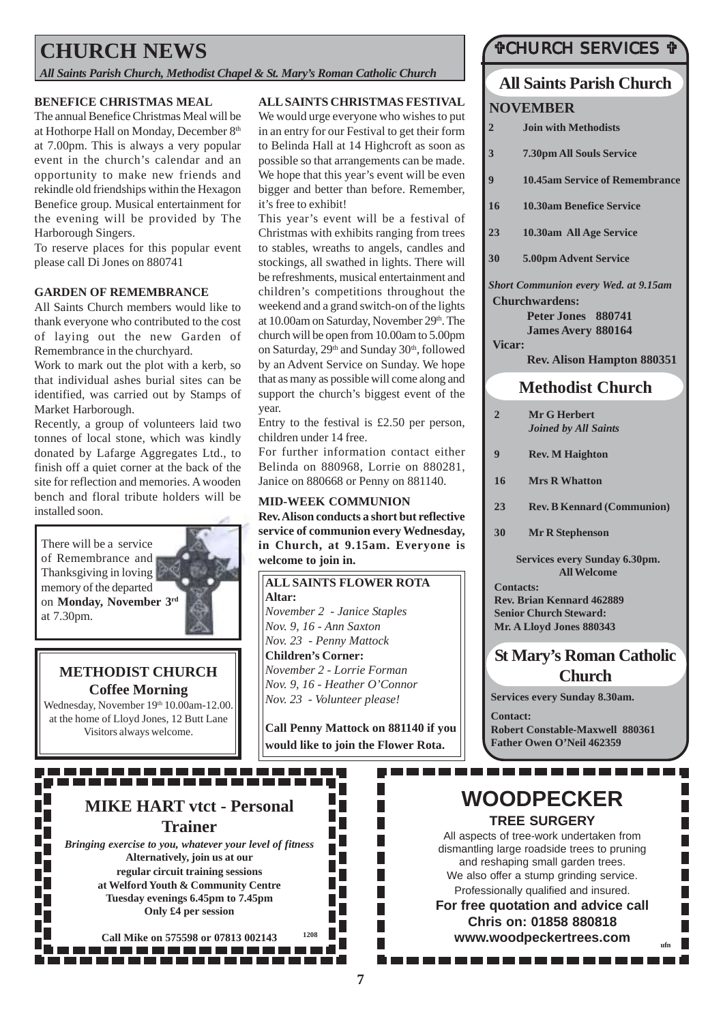# **CHURCH NEWS**

*All Saints Parish Church, Methodist Chapel & St. Mary's Roman Catholic Church*

#### **BENEFICE CHRISTMAS MEAL**

The annual Benefice Christmas Meal will be at Hothorpe Hall on Monday, December 8<sup>th</sup> at 7.00pm. This is always a very popular event in the church's calendar and an opportunity to make new friends and rekindle old friendships within the Hexagon Benefice group. Musical entertainment for the evening will be provided by The Harborough Singers.

To reserve places for this popular event please call Di Jones on 880741

#### **GARDEN OF REMEMBRANCE**

All Saints Church members would like to thank everyone who contributed to the cost of laying out the new Garden of Remembrance in the churchyard.

Work to mark out the plot with a kerb, so that individual ashes burial sites can be identified, was carried out by Stamps of Market Harborough.

Recently, a group of volunteers laid two tonnes of local stone, which was kindly donated by Lafarge Aggregates Ltd., to finish off a quiet corner at the back of the site for reflection and memories. A wooden bench and floral tribute holders will be installed soon.

There will be a service of Remembrance and Thanksgiving in loving memory of the departed on **Monday, November 3rd** at 7.30pm.

### **METHODIST CHURCH Coffee Morning**

Wednesday, November 19th 10.00am-12.00. at the home of Lloyd Jones, 12 Butt Lane Visitors always welcome.

#### **ALL SAINTS CHRISTMAS FESTIVAL**

We would urge everyone who wishes to put in an entry for our Festival to get their form to Belinda Hall at 14 Highcroft as soon as possible so that arrangements can be made. We hope that this year's event will be even bigger and better than before. Remember, it's free to exhibit!

This year's event will be a festival of Christmas with exhibits ranging from trees to stables, wreaths to angels, candles and stockings, all swathed in lights. There will be refreshments, musical entertainment and children's competitions throughout the weekend and a grand switch-on of the lights at 10.00am on Saturday, November 29th. The church will be open from 10.00am to 5.00pm on Saturday, 29<sup>th</sup> and Sunday 30<sup>th</sup>, followed by an Advent Service on Sunday. We hope that as many as possible will come along and support the church's biggest event of the year.

Entry to the festival is £2.50 per person, children under 14 free.

For further information contact either Belinda on 880968, Lorrie on 880281, Janice on 880668 or Penny on 881140.

#### **MID-WEEK COMMUNION**

**Rev. Alison conducts a short but reflective service of communion every Wednesday, in Church, at 9.15am. Everyone is welcome to join in.**

**ALL SAINTS FLOWER ROTA Altar:** *November 2 - Janice Staples Nov. 9, 16 - Ann Saxton Nov. 23 - Penny Mattock* **Children's Corner:** *November 2 - Lorrie Forman Nov. 9, 16 - Heather O'Connor Nov. 23 - Volunteer please!*

**Call Penny Mattock on 881140 if you would like to join the Flower Rota.**

٦

. . . . . .

П T.  $\overline{\phantom{a}}$  $\overline{\mathcal{A}}$  $\Box$ 

П

### #CHURCH SERVICES #

### **All Saints Parish Church NOVEMBER**

- **2 Join with Methodists**
- **3 7.30pm All Souls Service**
- **9 10.45am Service of Remembrance**
- **16 10.30am Benefice Service**
- **23 10.30am All Age Service**
- **30 5.00pm Advent Service**

*Short Communion every Wed. at 9.15am* **Churchwardens:**

> **Peter Jones 880741 James Avery 880164**

**Vicar: Rev. Alison Hampton 880351**

#### **Methodist Church**

- **2 Mr G Herbert** *Joined by All Saints*
- **9 Rev. M Haighton**
- **16 Mrs R Whatton**
- **23 Rev. B Kennard (Communion)**
- **30 Mr R Stephenson**

**Services every Sunday 6.30pm. All Welcome**

**Contacts: Rev. Brian Kennard 462889 Senior Church Steward: Mr. A Lloyd Jones 880343**

### **St Mary's Roman Catholic Church**

**Services every Sunday 8.30am.**

**Contact: Robert Constable-Maxwell 880361 Father Owen O'Neil 462359**

. . . . . . . . . . . .

. . . . . . . .

### **WOODPECKER TREE SURGERY**

All aspects of tree-work undertaken from dismantling large roadside trees to pruning and reshaping small garden trees. We also offer a stump grinding service. Professionally qualified and insured. **For free quotation and advice call**

**Chris on: 01858 880818 www.woodpeckertrees.com ufn**

# **MIKE HART vtct - Personal Trainer**

. . . . . . . . . . . . . . . . . .

*Bringing exercise to you, whatever your level of fitness* **Alternatively, join us at our regular circuit training sessions at Welford Youth & Community Centre Tuesday evenings 6.45pm to 7.45pm Only £4 per session**

**Call Mike on 575598 or 07813 002143 <sup>1208</sup>** . . . . . . . . . . . . . . . .